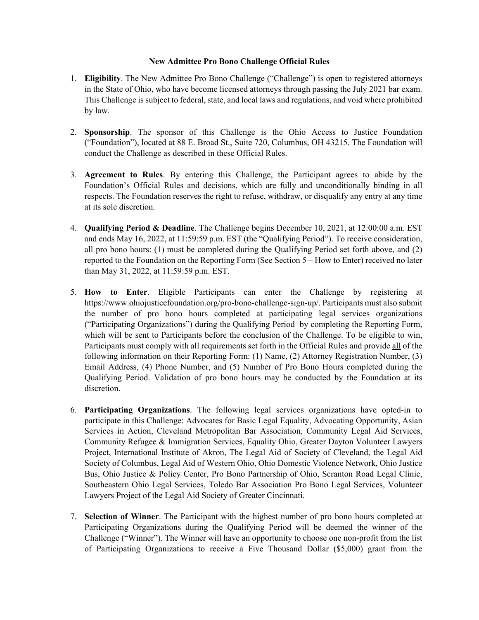## **New Admittee Pro Bono Challenge Official Rules**

- 1. **Eligibility**. The New Admittee Pro Bono Challenge ("Challenge") is open to registered attorneys in the State of Ohio, who have become licensed attorneys through passing the July 2021 bar exam. This Challenge is subject to federal, state, and local laws and regulations, and void where prohibited by law.
- 2. **Sponsorship**. The sponsor of this Challenge is the Ohio Access to Justice Foundation ("Foundation"), located at 88 E. Broad St., Suite 720, Columbus, OH 43215. The Foundation will conduct the Challenge as described in these Official Rules.
- 3. **Agreement to Rules**. By entering this Challenge, the Participant agrees to abide by the Foundation's Official Rules and decisions, which are fully and unconditionally binding in all respects. The Foundation reserves the right to refuse, withdraw, or disqualify any entry at any time at its sole discretion.
- 4. **Qualifying Period & Deadline**. The Challenge begins December 10, 2021, at 12:00:00 a.m. EST and ends May 16, 2022, at 11:59:59 p.m. EST (the "Qualifying Period"). To receive consideration, all pro bono hours: (1) must be completed during the Qualifying Period set forth above, and (2) reported to the Foundation on the Reporting Form (See Section 5 – How to Enter) received no later than May 31, 2022, at 11:59:59 p.m. EST.
- 5. **How to Enter**. Eligible Participants can enter the Challenge by registering at https://www.ohiojusticefoundation.org/pro-bono-challenge-sign-up/. Participants must also submit the number of pro bono hours completed at participating legal services organizations ("Participating Organizations") during the Qualifying Period by completing the Reporting Form, which will be sent to Participants before the conclusion of the Challenge. To be eligible to win, Participants must comply with all requirements set forth in the Official Rules and provide all of the following information on their Reporting Form: (1) Name, (2) Attorney Registration Number, (3) Email Address, (4) Phone Number, and (5) Number of Pro Bono Hours completed during the Qualifying Period. Validation of pro bono hours may be conducted by the Foundation at its discretion.
- 6. **Participating Organizations**. The following legal services organizations have opted-in to participate in this Challenge: Advocates for Basic Legal Equality, Advocating Opportunity, Asian Services in Action, Cleveland Metropolitan Bar Association, Community Legal Aid Services, Community Refugee & Immigration Services, Equality Ohio, Greater Dayton Volunteer Lawyers Project, International Institute of Akron, The Legal Aid of Society of Cleveland, the Legal Aid Society of Columbus, Legal Aid of Western Ohio, Ohio Domestic Violence Network, Ohio Justice Bus, Ohio Justice & Policy Center, Pro Bono Partnership of Ohio, Scranton Road Legal Clinic, Southeastern Ohio Legal Services, Toledo Bar Association Pro Bono Legal Services, Volunteer Lawyers Project of the Legal Aid Society of Greater Cincinnati.
- 7. **Selection of Winner**. The Participant with the highest number of pro bono hours completed at Participating Organizations during the Qualifying Period will be deemed the winner of the Challenge ("Winner"). The Winner will have an opportunity to choose one non-profit from the list of Participating Organizations to receive a Five Thousand Dollar (\$5,000) grant from the